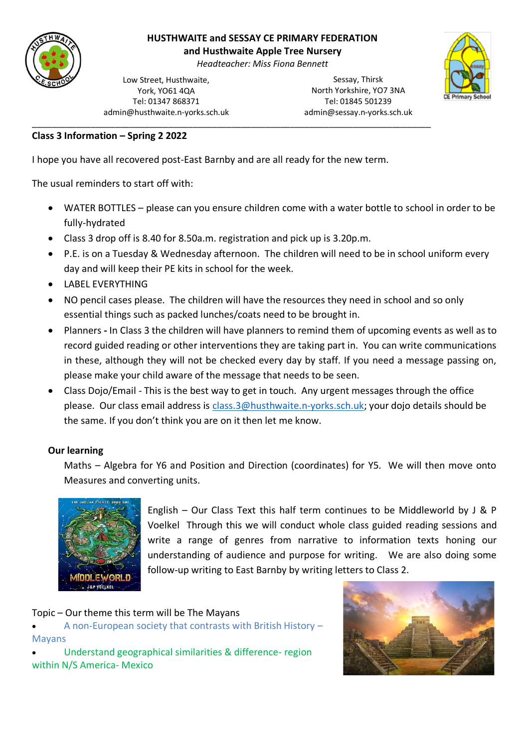

# **HUSTHWAITE and SESSAY CE PRIMARY FEDERATION**

**and Husthwaite Apple Tree Nursery**

*Headteacher: Miss Fiona Bennett*

Low Street, Husthwaite, York, YO61 4QA Tel: 01347 868371 admin@husthwaite.n-yorks.sch.uk

Sessay, Thirsk North Yorkshire, YO7 3NA Tel: 01845 501239 admin@sessay.n-yorks.sch.uk



### **Class 3 Information – Spring 2 2022**

I hope you have all recovered post-East Barnby and are all ready for the new term.

\_\_\_\_\_\_\_\_\_\_\_\_\_\_\_\_\_\_\_\_\_\_\_\_\_\_\_\_\_\_\_\_\_\_\_\_\_\_\_\_\_\_\_\_\_\_\_\_\_\_\_\_\_\_\_\_\_\_\_\_\_\_\_\_\_\_\_\_\_\_\_\_\_\_\_\_\_\_\_\_\_\_

The usual reminders to start off with:

- WATER BOTTLES please can you ensure children come with a water bottle to school in order to be fully-hydrated
- Class 3 drop off is 8.40 for 8.50a.m. registration and pick up is 3.20p.m.
- P.E. is on a Tuesday & Wednesday afternoon. The children will need to be in school uniform every day and will keep their PE kits in school for the week.
- LABEL EVERYTHING
- NO pencil cases please. The children will have the resources they need in school and so only essential things such as packed lunches/coats need to be brought in.
- Planners **-** In Class 3 the children will have planners to remind them of upcoming events as well as to record guided reading or other interventions they are taking part in. You can write communications in these, although they will not be checked every day by staff. If you need a message passing on, please make your child aware of the message that needs to be seen.
- Class Dojo/Email This is the best way to get in touch. Any urgent messages through the office please. Our class email address is [class.3@husthwaite.n-yorks.sch.uk;](mailto:class.3@husthwaite.n-yorks.sch.uk) your dojo details should be the same. If you don't think you are on it then let me know.

# **Our learning**

Maths – Algebra for Y6 and Position and Direction (coordinates) for Y5. We will then move onto Measures and converting units.



English – Our Class Text this half term continues to be Middleworld by J & P Voelkel Through this we will conduct whole class guided reading sessions and write a range of genres from narrative to information texts honing our understanding of audience and purpose for writing. We are also doing some follow-up writing to East Barnby by writing letters to Class 2.

#### Topic – Our theme this term will be The Mayans

• A non-European society that contrasts with British History – Mayans

• Understand geographical similarities & difference- region within N/S America- Mexico